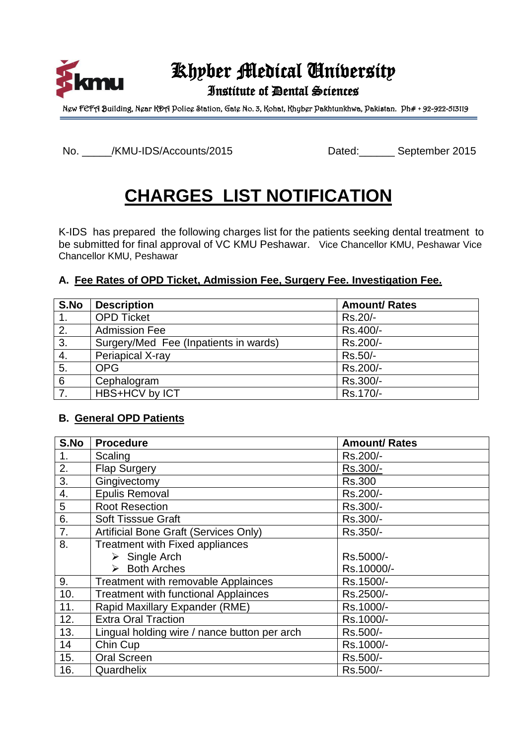

# Khyber Medical University

## Institute of Dental Sciences

New FEFA Building, Near KDA Police Station, Gate No. 3, Kohat, Khyber Pakhtunkhwa, Pakistan. Ph# + 92-922-513119

No. \_\_\_\_\_/KMU-IDS/Accounts/2015 Dated:\_\_\_\_\_\_ September 2015

# **CHARGES LIST NOTIFICATION**

K-IDS has prepared the following charges list for the patients seeking dental treatment to be submitted for final approval of VC KMU Peshawar. Vice Chancellor KMU, Peshawar Vice Chancellor KMU, Peshawar

### **A. Fee Rates of OPD Ticket, Admission Fee, Surgery Fee. Investigation Fee.**

| S.No             | <b>Description</b>                    | <b>Amount/ Rates</b> |
|------------------|---------------------------------------|----------------------|
|                  | <b>OPD Ticket</b>                     | Rs.20/-              |
| 2.               | <b>Admission Fee</b>                  | Rs.400/-             |
| 3.               | Surgery/Med Fee (Inpatients in wards) | Rs.200/-             |
| $\overline{4}$ . | Periapical X-ray                      | Rs.50/-              |
| $\overline{5}$ . | <b>OPG</b>                            | Rs.200/-             |
| $\overline{6}$   | Cephalogram                           | Rs.300/-             |
| $\overline{7}$ . | HBS+HCV by ICT                        | Rs.170/-             |

### **B. General OPD Patients**

| S.No | <b>Procedure</b>                             | <b>Amount/ Rates</b> |
|------|----------------------------------------------|----------------------|
| 1.   | Scaling                                      | Rs.200/-             |
| 2.   | <b>Flap Surgery</b>                          | Rs.300/-             |
| 3.   | Gingivectomy                                 | <b>Rs.300</b>        |
| 4.   | <b>Epulis Removal</b>                        | Rs.200/-             |
| 5    | <b>Root Resection</b>                        | Rs.300/-             |
| 6.   | <b>Soft Tisssue Graft</b>                    | Rs.300/-             |
| 7.   | <b>Artificial Bone Graft (Services Only)</b> | Rs.350/-             |
| 8.   | <b>Treatment with Fixed appliances</b>       |                      |
|      | $\triangleright$ Single Arch                 | Rs.5000/-            |
|      | $\triangleright$ Both Arches                 | Rs.10000/-           |
| 9.   | <b>Treatment with removable Applainces</b>   | Rs.1500/-            |
| 10.  | <b>Treatment with functional Applainces</b>  | Rs.2500/-            |
| 11.  | Rapid Maxillary Expander (RME)               | Rs.1000/-            |
| 12.  | <b>Extra Oral Traction</b>                   | Rs.1000/-            |
| 13.  | Lingual holding wire / nance button per arch | Rs.500/-             |
| 14   | Chin Cup                                     | Rs.1000/-            |
| 15.  | <b>Oral Screen</b>                           | Rs.500/-             |
| 16.  | Quardhelix                                   | Rs.500/-             |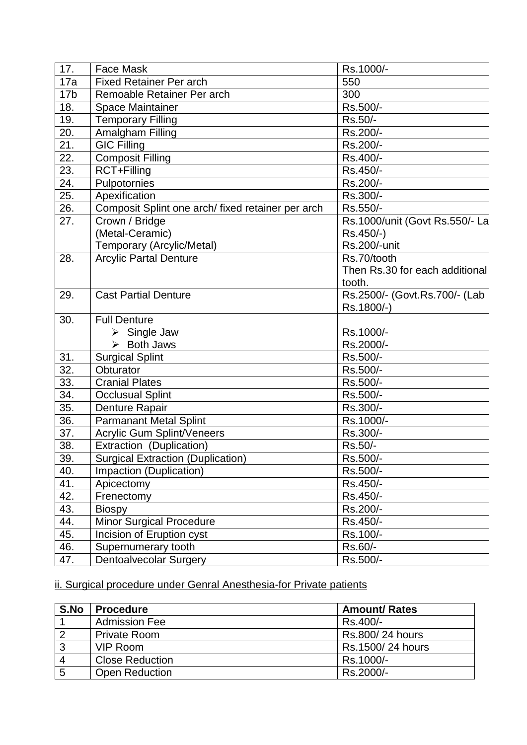| 17.             | <b>Face Mask</b>                                  | Rs.1000/-                      |
|-----------------|---------------------------------------------------|--------------------------------|
| 17a             | <b>Fixed Retainer Per arch</b>                    | 550                            |
| 17 <sub>b</sub> | Remoable Retainer Per arch                        | 300                            |
| 18.             | <b>Space Maintainer</b>                           | Rs.500/-                       |
| 19.             | <b>Temporary Filling</b>                          | Rs.50/-                        |
| 20.             | Amalgham Filling                                  | Rs.200/-                       |
| 21.             | <b>GIC Filling</b>                                | Rs.200/-                       |
| 22.             | <b>Composit Filling</b>                           | Rs.400/-                       |
| 23.             | RCT+Filling                                       | Rs.450/-                       |
| 24.             | Pulpotornies                                      | Rs.200/-                       |
| 25.             | Apexification                                     | Rs.300/-                       |
| 26.             | Composit Splint one arch/ fixed retainer per arch | Rs.550/-                       |
| 27.             | Crown / Bridge                                    | Rs.1000/unit (Govt Rs.550/- La |
|                 | (Metal-Ceramic)                                   | Rs.450/-)                      |
|                 | Temporary (Arcylic/Metal)                         | Rs.200/-unit                   |
| 28.             | <b>Arcylic Partal Denture</b>                     | Rs.70/tooth                    |
|                 |                                                   | Then Rs.30 for each additional |
|                 |                                                   | tooth.                         |
| 29.             | <b>Cast Partial Denture</b>                       | Rs.2500/- (Govt.Rs.700/- (Lab  |
|                 |                                                   | Rs.1800/-)                     |
| 30.             | <b>Full Denture</b>                               |                                |
|                 | $\triangleright$ Single Jaw                       | Rs.1000/-                      |
|                 | $\triangleright$ Both Jaws                        | Rs.2000/-                      |
| 31.             | <b>Surgical Splint</b>                            | Rs.500/-                       |
| 32.             | Obturator                                         | Rs.500/-                       |
| 33.             | <b>Cranial Plates</b>                             | Rs.500/-                       |
| 34.             | <b>Occlusual Splint</b>                           | Rs.500/-                       |
| 35.             | Denture Rapair                                    | Rs.300/-                       |
| 36.             | <b>Parmanant Metal Splint</b>                     | Rs.1000/-                      |
| 37.             | <b>Acrylic Gum Splint/Veneers</b>                 | Rs.300/-                       |
| 38.             | Extraction (Duplication)                          | Rs.50/-                        |
| 39.             | <b>Surgical Extraction (Duplication)</b>          | Rs.500/-                       |
| 40.             | Impaction (Duplication)                           | Rs.500/-                       |
| 41.             | Apicectomy                                        | Rs.450/-                       |
| 42.             | Frenectomy                                        | Rs.450/-                       |
| 43.             | <b>Biospy</b>                                     | Rs.200/-                       |
| 44.             | Minor Surgical Procedure                          | Rs.450/-                       |
| 45.             | Incision of Eruption cyst                         | Rs.100/-                       |
| 46.             | Supernumerary tooth                               | Rs.60/-                        |
| 47.             | <b>Dentoalvecolar Surgery</b>                     | Rs.500/-                       |

## ii. Surgical procedure under Genral Anesthesia-for Private patients

| S.No           | <b>Procedure</b>       | <b>Amount/ Rates</b> |
|----------------|------------------------|----------------------|
|                | <b>Admission Fee</b>   | Rs.400/-             |
| $\overline{2}$ | <b>Private Room</b>    | Rs.800/24 hours      |
| 3              | VIP Room               | Rs.1500/24 hours     |
| 4              | <b>Close Reduction</b> | Rs.1000/-            |
| 5              | <b>Open Reduction</b>  | Rs.2000/-            |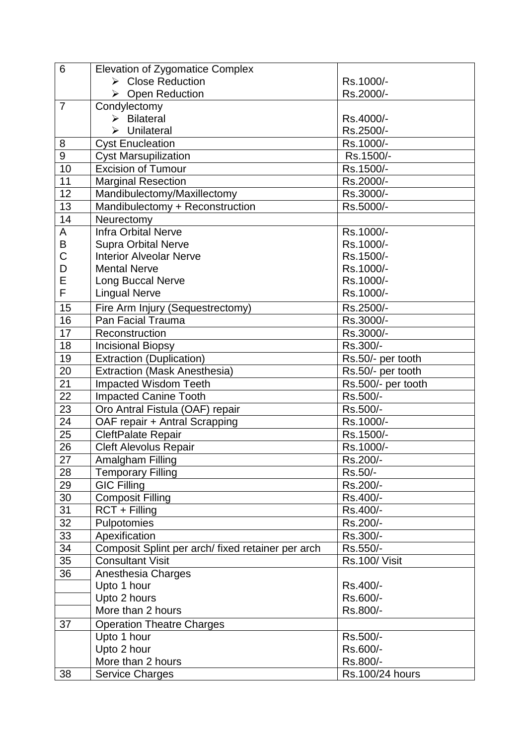| 6               | <b>Elevation of Zygomatice Complex</b>           |                    |
|-----------------|--------------------------------------------------|--------------------|
|                 | > Close Reduction                                | Rs.1000/-          |
|                 | > Open Reduction                                 | Rs.2000/-          |
| $\overline{7}$  | Condylectomy                                     |                    |
|                 | $\triangleright$ Bilateral                       | Rs.4000/-          |
|                 | Unilateral<br>↘                                  | Rs.2500/-          |
| 8               | <b>Cyst Enucleation</b>                          | Rs.1000/-          |
| 9               | <b>Cyst Marsupilization</b>                      | Rs.1500/-          |
| 10              | <b>Excision of Tumour</b>                        | Rs.1500/-          |
| 11              | <b>Marginal Resection</b>                        | Rs.2000/-          |
| 12              | Mandibulectomy/Maxillectomy                      | Rs.3000/-          |
| 13              | Mandibulectomy + Reconstruction                  | Rs.5000/-          |
| 14              | Neurectomy                                       |                    |
| A               | <b>Infra Orbital Nerve</b>                       | Rs.1000/-          |
| B               | <b>Supra Orbital Nerve</b>                       | Rs.1000/-          |
| $\overline{C}$  | <b>Interior Alveolar Nerve</b>                   | Rs.1500/-          |
| D               | <b>Mental Nerve</b>                              | Rs.1000/-          |
| E               | <b>Long Buccal Nerve</b>                         | Rs.1000/-          |
| F               | <b>Lingual Nerve</b>                             | Rs.1000/-          |
| 15              | Fire Arm Injury (Sequestrectomy)                 | Rs.2500/-          |
| 16              | Pan Facial Trauma                                | Rs.3000/-          |
| 17              | Reconstruction                                   | Rs.3000/-          |
| 18              | <b>Incisional Biopsy</b>                         | Rs.300/-           |
| 19              | <b>Extraction (Duplication)</b>                  | Rs.50/- per tooth  |
| 20              | <b>Extraction (Mask Anesthesia)</b>              | Rs.50/- per tooth  |
| 21              | Impacted Wisdom Teeth                            | Rs.500/- per tooth |
| $\overline{22}$ | <b>Impacted Canine Tooth</b>                     | Rs.500/-           |
| 23              | Oro Antral Fistula (OAF) repair                  | Rs.500/-           |
| 24              | OAF repair + Antral Scrapping                    | Rs.1000/-          |
| 25              | CleftPalate Repair                               | Rs.1500/-          |
| 26              | <b>Cleft Alevolus Repair</b>                     | Rs.1000/-          |
| 27              | Amalgham Filling                                 | Rs.200/-           |
| 28              | <b>Temporary Filling</b>                         | Rs.50/-            |
| 29              | <b>GIC Filling</b>                               | Rs.200/-           |
| 30              | <b>Composit Filling</b>                          | Rs.400/-           |
| 31              | RCT + Filling                                    | Rs.400/-           |
| 32              | Pulpotomies                                      | Rs.200/-           |
| 33              | Apexification                                    | Rs.300/-           |
| 34              | Composit Splint per arch/fixed retainer per arch | Rs.550/-           |
| 35              | <b>Consultant Visit</b>                          | Rs.100/Visit       |
| 36              | <b>Anesthesia Charges</b>                        |                    |
|                 | Upto 1 hour                                      | Rs.400/-           |
|                 | Upto 2 hours                                     | Rs.600/-           |
|                 | More than 2 hours                                | Rs.800/-           |
|                 |                                                  |                    |
| 37              | <b>Operation Theatre Charges</b>                 |                    |
|                 | Upto 1 hour                                      | Rs.500/-           |
|                 | Upto 2 hour                                      | Rs.600/-           |
|                 | More than 2 hours                                | Rs.800/-           |
| 38              | <b>Service Charges</b>                           | Rs.100/24 hours    |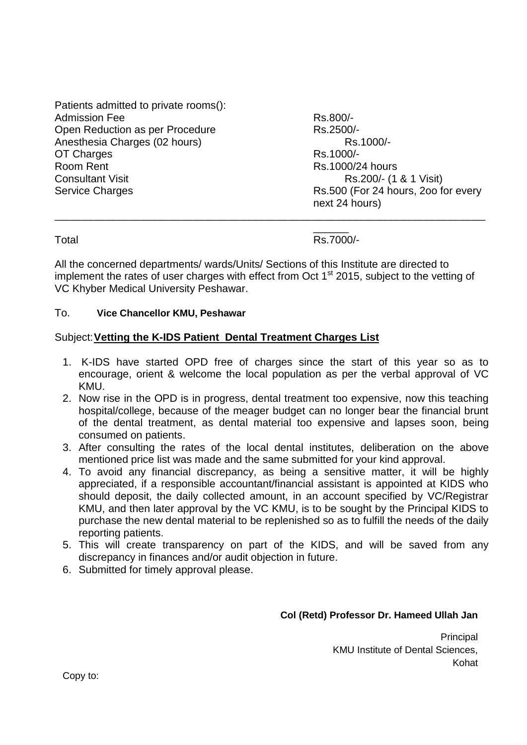|                                       | next 24 hours)                      |
|---------------------------------------|-------------------------------------|
| <b>Service Charges</b>                | Rs.500 (For 24 hours, 200 for every |
| <b>Consultant Visit</b>               | Rs.200/- (1 & 1 Visit)              |
| Room Rent                             | Rs.1000/24 hours                    |
| OT Charges                            | Rs.1000/-                           |
| Anesthesia Charges (02 hours)         | Rs.1000/-                           |
| Open Reduction as per Procedure       | Rs.2500/-                           |
| <b>Admission Fee</b>                  | Rs.800/-                            |
| Patients admitted to private rooms(): |                                     |

Total Rs.7000/-

All the concerned departments/ wards/Units/ Sections of this Institute are directed to implement the rates of user charges with effect from Oct  $1<sup>st</sup>$  2015, subject to the vetting of VC Khyber Medical University Peshawar.

#### To. **Vice Chancellor KMU, Peshawar**

### Subject:**Vetting the K-IDS Patient Dental Treatment Charges List**

- 1. K-IDS have started OPD free of charges since the start of this year so as to encourage, orient & welcome the local population as per the verbal approval of VC KMU.
- 2. Now rise in the OPD is in progress, dental treatment too expensive, now this teaching hospital/college, because of the meager budget can no longer bear the financial brunt of the dental treatment, as dental material too expensive and lapses soon, being consumed on patients.
- 3. After consulting the rates of the local dental institutes, deliberation on the above mentioned price list was made and the same submitted for your kind approval.
- 4. To avoid any financial discrepancy, as being a sensitive matter, it will be highly appreciated, if a responsible accountant/financial assistant is appointed at KIDS who should deposit, the daily collected amount, in an account specified by VC/Registrar KMU, and then later approval by the VC KMU, is to be sought by the Principal KIDS to purchase the new dental material to be replenished so as to fulfill the needs of the daily reporting patients.
- 5. This will create transparency on part of the KIDS, and will be saved from any discrepancy in finances and/or audit objection in future.
- 6. Submitted for timely approval please.

#### **Col (Retd) Professor Dr. Hameed Ullah Jan**

**Principal** KMU Institute of Dental Sciences, Kohat